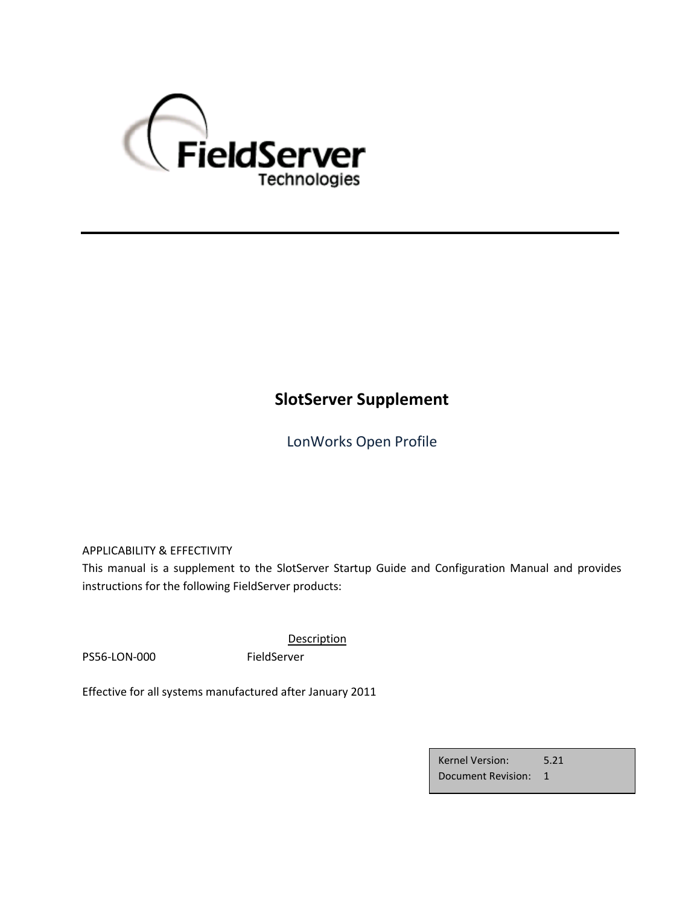

# **SlotServer Supplement**

LonWorks Open Profile

APPLICABILITY & EFFECTIVITY

This manual is a supplement to the SlotServer Startup Guide and Configuration Manual and provides instructions for the following FieldServer products:

PS56-LON-000 FieldServer

**Description** 

Effective for all systems manufactured after January 2011

Kernel Version: 5.21 Document Revision: 1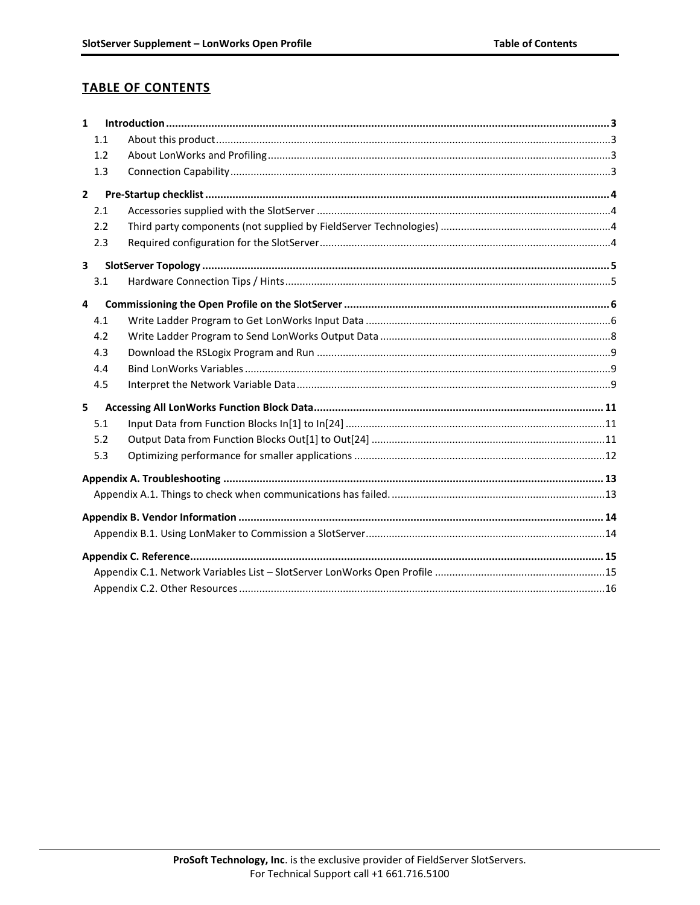# **TABLE OF CONTENTS**

| $\mathbf{1}$   |     |  |  |  |  |
|----------------|-----|--|--|--|--|
|                | 1.1 |  |  |  |  |
|                | 1.2 |  |  |  |  |
|                | 1.3 |  |  |  |  |
| $\overline{2}$ |     |  |  |  |  |
|                | 2.1 |  |  |  |  |
|                | 2.2 |  |  |  |  |
|                | 2.3 |  |  |  |  |
| 3              |     |  |  |  |  |
|                | 3.1 |  |  |  |  |
| 4              |     |  |  |  |  |
|                | 4.1 |  |  |  |  |
|                | 4.2 |  |  |  |  |
|                | 4.3 |  |  |  |  |
|                | 4.4 |  |  |  |  |
|                | 4.5 |  |  |  |  |
| 5              |     |  |  |  |  |
|                | 5.1 |  |  |  |  |
|                | 5.2 |  |  |  |  |
|                | 5.3 |  |  |  |  |
|                |     |  |  |  |  |
|                |     |  |  |  |  |
|                |     |  |  |  |  |
|                |     |  |  |  |  |
|                |     |  |  |  |  |
|                |     |  |  |  |  |
|                |     |  |  |  |  |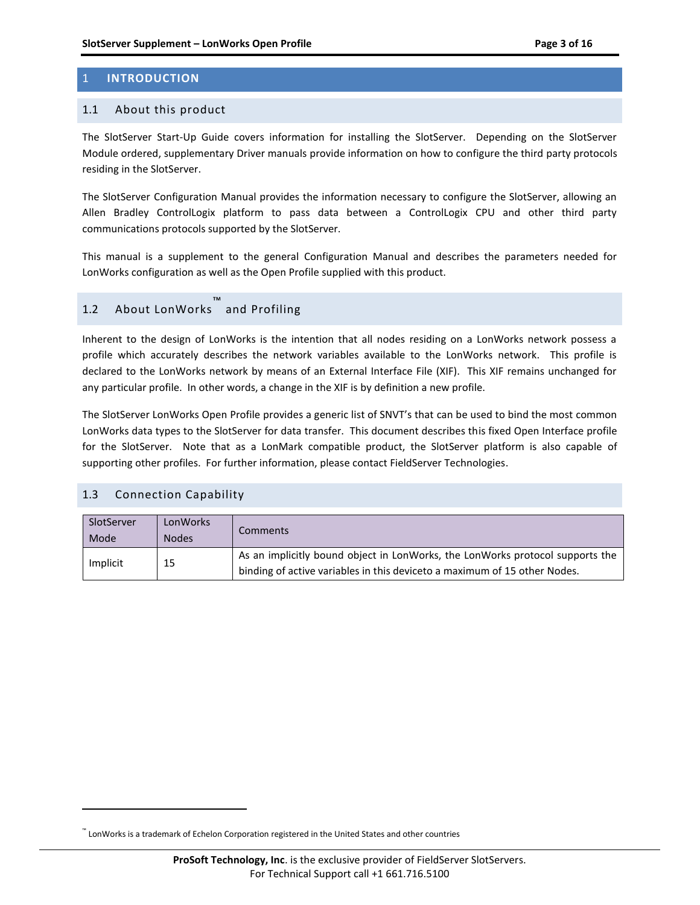# <span id="page-2-0"></span>1 **INTRODUCTION**

### <span id="page-2-1"></span>1.1 About this product

The SlotServer Start-Up Guide covers information for installing the SlotServer. Depending on the SlotServer Module ordered, supplementary Driver manuals provide information on how to configure the third party protocols residing in the SlotServer.

The SlotServer Configuration Manual provides the information necessary to configure the SlotServer, allowing an Allen Bradley ControlLogix platform to pass data between a ControlLogix CPU and other third party communications protocols supported by the SlotServer.

This manual is a supplement to the general Configuration Manual and describes the parameters needed for LonWorks configuration as well as the Open Profile supplied with this product.

# <span id="page-2-2"></span>1.2 About LonWorks ™ and Profiling

Inherent to the design of LonWorks is the intention that all nodes residing on a LonWorks network possess a profile which accurately describes the network variables available to the LonWorks network. This profile is declared to the LonWorks network by means of an External Interface File (XIF). This XIF remains unchanged for any particular profile. In other words, a change in the XIF is by definition a new profile.

The SlotServer LonWorks Open Profile provides a generic list of SNVT's that can be used to bind the most common LonWorks data types to the SlotServer for data transfer. This document describes this fixed Open Interface profile for the SlotServer. Note that as a LonMark compatible product, the SlotServer platform is also capable of supporting other profiles. For further information, please contact FieldServer Technologies.

### <span id="page-2-3"></span>1.3 Connection Capability

 $\overline{a}$ 

| SlotServer<br>Mode | LonWorks<br><b>Nodes</b> | Comments                                                                                                                                                   |
|--------------------|--------------------------|------------------------------------------------------------------------------------------------------------------------------------------------------------|
| Implicit           | 15                       | As an implicitly bound object in LonWorks, the LonWorks protocol supports the<br>binding of active variables in this deviceto a maximum of 15 other Nodes. |

<sup>™</sup> LonWorks is a trademark of Echelon Corporation registered in the United States and other countries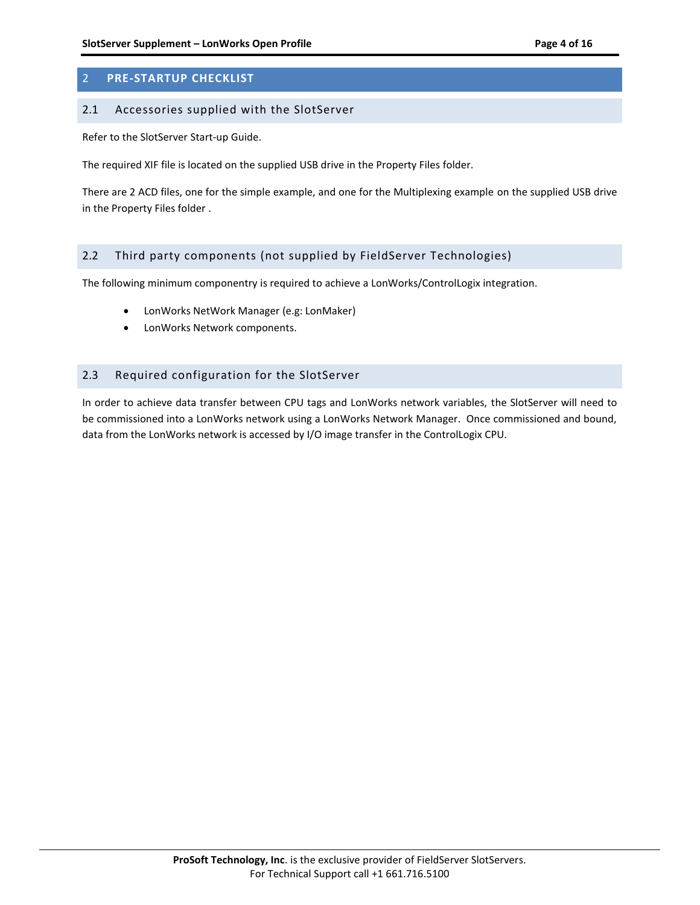# <span id="page-3-0"></span>2 **PRE-STARTUP CHECKLIST**

#### <span id="page-3-1"></span>2.1 Accessories supplied with the SlotServer

Refer to the SlotServer Start-up Guide.

The required XIF file is located on the supplied USB drive in the Property Files folder.

There are 2 ACD files, one for the simple example, and one for the Multiplexing example on the supplied USB drive in the Property Files folder .

## <span id="page-3-2"></span>2.2 Third party components (not supplied by FieldServer Technologies)

The following minimum componentry is required to achieve a LonWorks/ControlLogix integration.

- LonWorks NetWork Manager (e.g: LonMaker)
- LonWorks Network components.

### <span id="page-3-3"></span>2.3 Required configuration for the SlotServer

In order to achieve data transfer between CPU tags and LonWorks network variables, the SlotServer will need to be commissioned into a LonWorks network using a LonWorks Network Manager. Once commissioned and bound, data from the LonWorks network is accessed by I/O image transfer in the ControlLogix CPU.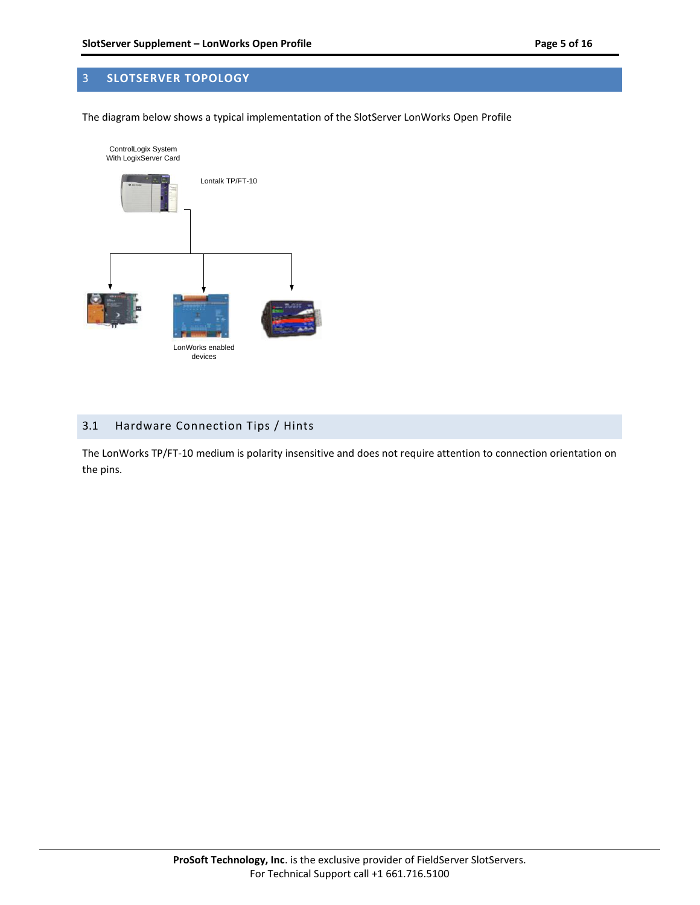# <span id="page-4-0"></span>3 **SLOTSERVER TOPOLOGY**

The diagram below shows a typical implementation of the SlotServer LonWorks Open Profile



# <span id="page-4-1"></span>3.1 Hardware Connection Tips / Hints

The LonWorks TP/FT-10 medium is polarity insensitive and does not require attention to connection orientation on the pins.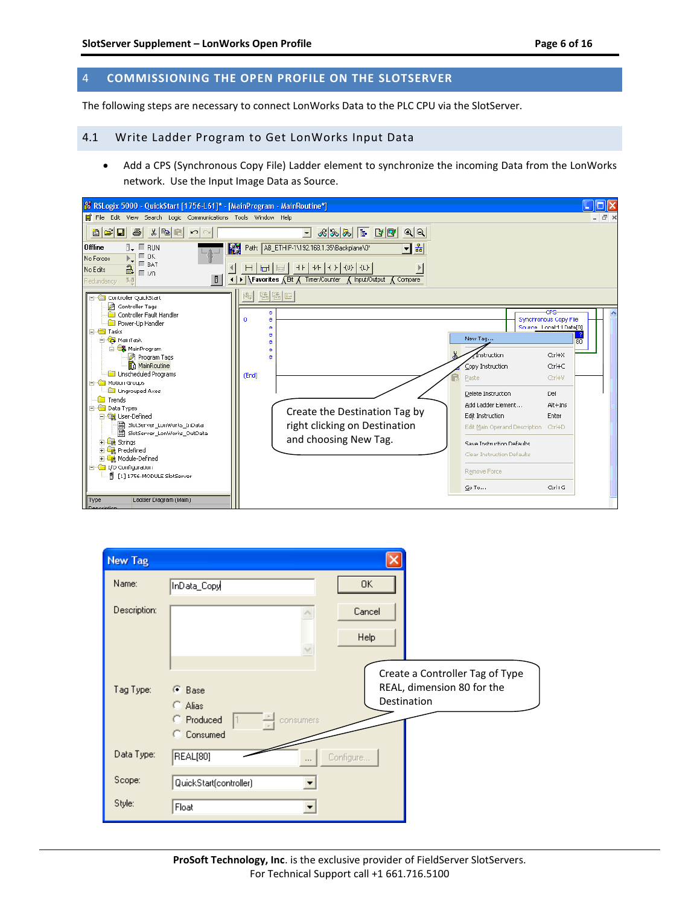# <span id="page-5-0"></span>4 **COMMISSIONING THE OPEN PROFILE ON THE SLOTSERVER**

The following steps are necessary to connect LonWorks Data to the PLC CPU via the SlotServer.

# <span id="page-5-1"></span>4.1 Write Ladder Program to Get LonWorks Input Data

 Add a CPS (Synchronous Copy File) Ladder element to synchronize the incoming Data from the LonWorks network. Use the Input Image Data as Source.

| 8 RSLogix 5000 - QuickStart [1756-L61]* - [MainProgram - MainRoutine*]                                                                                                                                                                                                                                                                                                                                                                                                                                                                      |                                                                                                                                                                                                                                                                                                                                                                                                                                                                     | Io                                                          |
|---------------------------------------------------------------------------------------------------------------------------------------------------------------------------------------------------------------------------------------------------------------------------------------------------------------------------------------------------------------------------------------------------------------------------------------------------------------------------------------------------------------------------------------------|---------------------------------------------------------------------------------------------------------------------------------------------------------------------------------------------------------------------------------------------------------------------------------------------------------------------------------------------------------------------------------------------------------------------------------------------------------------------|-------------------------------------------------------------|
| Fire Edit View Search Logic Communications Tools Window Help                                                                                                                                                                                                                                                                                                                                                                                                                                                                                |                                                                                                                                                                                                                                                                                                                                                                                                                                                                     | $ \Box$ $\times$                                            |
| 8 F E<br>$\bigcirc$<br>$ x $ to $ x $<br>∣⇔∣⇔∣                                                                                                                                                                                                                                                                                                                                                                                                                                                                                              | ାଷାଷା<br>$\vert \cdot \vert$                                                                                                                                                                                                                                                                                                                                                                                                                                        |                                                             |
| <b>Offline</b><br><b>RUN</b><br>Г ок<br>No Forces<br>$\square$ BAT<br>2<br>No Edits<br>E vo<br>D<br>队员<br>Redundancy<br><b>Elleviller</b> QuickStart                                                                                                                                                                                                                                                                                                                                                                                        | Path: AB_ETHIP-1\192.168.1.35\Backplane\0*<br>ᅬᄘ<br>厰<br>- HF   44   KD   KD   KLD  <br>H<br>161<br>$\overline{a}$<br><b>Travorites A Bit A Timer/Counter A Input/Output A Compare</b><br>医陆巴<br>間                                                                                                                                                                                                                                                                  |                                                             |
| Controller Tags<br>Controller Fault Handler<br>Power-Up Handler<br>白 <b>白 Tasks</b><br>白 <b>号</b> MainTask<br>白 <b>名</b> MainProgram<br>Program Tags<br><b>Th</b> MainRoutine<br><b>Com</b> Unscheduled Programs<br><b>Co</b> Motion Groups<br>Ungrouped Axes<br><b>Trends</b><br><b>E</b> Data Types<br><b>E</b> al User-Defined<br>器 SlotServer_LonWorks_InData<br>[編 SlotServer_LonWorks_OutData<br><b>El Strings</b><br><b>F</b> Predefined<br><b>El Ligit</b> Module-Defined<br>in C I/O Configuration<br>1 [1] 1756-MODULE SlotServer | -CPS-<br>e<br><b>Synchronous Copy File</b><br>o<br>ė<br>Source Local:1:LData[0]<br>е<br>е<br>New Tag<br>Instruction<br>Copy Instruction<br>(End)<br>Paste<br>Del<br>Delete Instruction<br>Add Ladder Element<br>Create the Destination Tag by<br>Edit Instruction<br>Enter<br>right clicking on Destination<br>Edit Main Operand Description<br>Ctrl+D<br>and choosing New Tag.<br>Save Instruction Defaults<br>Clear Instruction Defaults<br>Remove Force<br>Go To | 80<br>Ctrl+X<br>Ctrl+C<br>Ctrl+V<br>$Alt + Ins$<br>$Cbrl+G$ |
| Type<br>Ladder Diagram (Main)<br>Deparintion                                                                                                                                                                                                                                                                                                                                                                                                                                                                                                |                                                                                                                                                                                                                                                                                                                                                                                                                                                                     |                                                             |

| <b>New Tag</b> |                                                                                                                                                                      |  |
|----------------|----------------------------------------------------------------------------------------------------------------------------------------------------------------------|--|
| Name:          | OK.<br>InData_Copy                                                                                                                                                   |  |
| Description:   | Cancel<br>Help                                                                                                                                                       |  |
| Tag Type:      | Create a Controller Tag of Type<br>REAL, dimension 80 for the<br>$\bullet$ Base<br>Destination<br>$\bigcap$ Alias<br><b>Produced</b><br>consumers<br><b>Consumed</b> |  |
| Data Type:     | REAL[80]<br>Configure                                                                                                                                                |  |
| Scope:         | QuickStart(controller)                                                                                                                                               |  |
| Style:         | Float                                                                                                                                                                |  |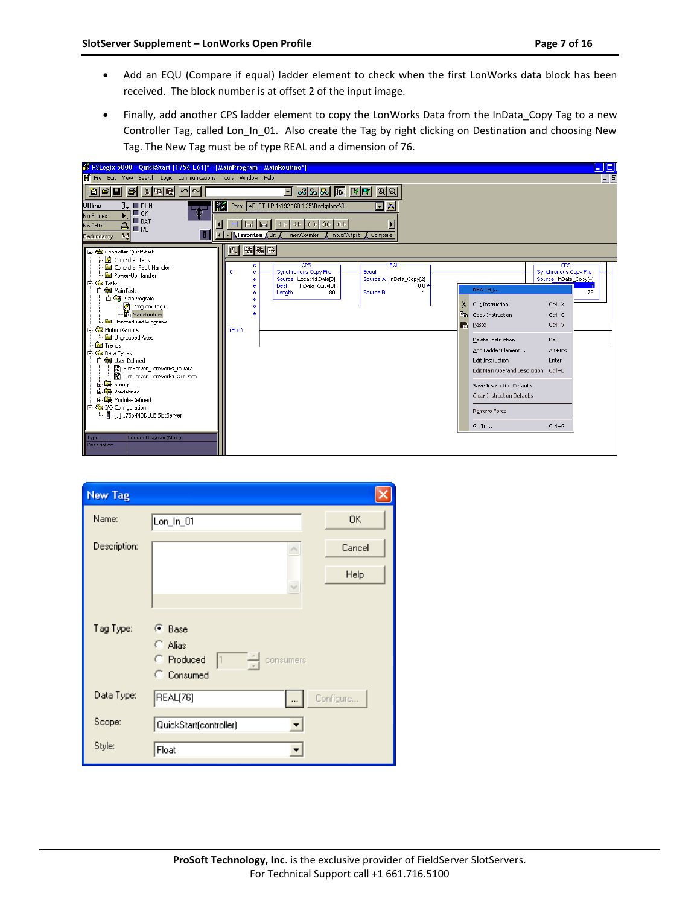- Add an EQU (Compare if equal) ladder element to check when the first LonWorks data block has been received. The block number is at offset 2 of the input image.
- Finally, add another CPS ladder element to copy the LonWorks Data from the InData\_Copy Tag to a new Controller Tag, called Lon\_In\_01. Also create the Tag by right clicking on Destination and choosing New Tag. The New Tag must be of type REAL and a dimension of 76.



| <b>New Tag</b>   |                                                                           |                |
|------------------|---------------------------------------------------------------------------|----------------|
| Name:            | $Lon_ln_01$                                                               | 0K             |
| Description:     | $\checkmark$                                                              | Cancel<br>Help |
| Tag Type:        | Œ<br>Base<br>o<br>Alias<br>득<br>Produced<br> 1<br>consumers<br>C Consumed |                |
| Data Type:       | REAL[76]                                                                  | Configure      |
| Scope:<br>Style: | QuickStart(controller)<br>Float                                           |                |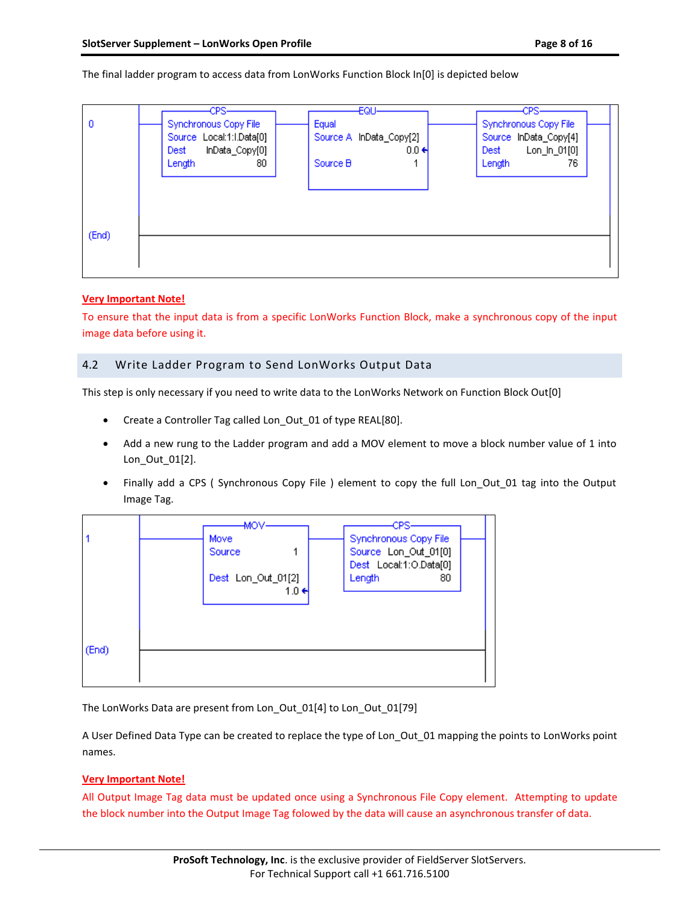The final ladder program to access data from LonWorks Function Block In[0] is depicted below



### **Very Important Note!**

To ensure that the input data is from a specific LonWorks Function Block, make a synchronous copy of the input image data before using it.

## <span id="page-7-0"></span>4.2 Write Ladder Program to Send LonWorks Output Data

This step is only necessary if you need to write data to the LonWorks Network on Function Block Out[0]

- Create a Controller Tag called Lon Out 01 of type REAL[80].
- Add a new rung to the Ladder program and add a MOV element to move a block number value of 1 into Lon\_Out\_01[2].
- Finally add a CPS ( Synchronous Copy File ) element to copy the full Lon\_Out\_01 tag into the Output Image Tag.



The LonWorks Data are present from Lon\_Out\_01[4] to Lon\_Out\_01[79]

A User Defined Data Type can be created to replace the type of Lon\_Out\_01 mapping the points to LonWorks point names.

### **Very Important Note!**

All Output Image Tag data must be updated once using a Synchronous File Copy element. Attempting to update the block number into the Output Image Tag folowed by the data will cause an asynchronous transfer of data.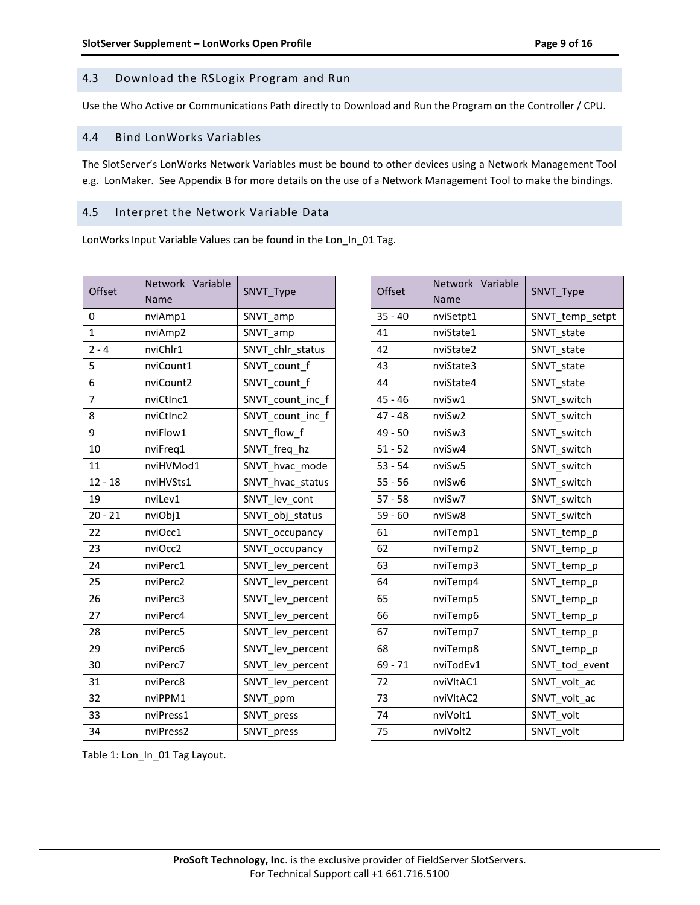## <span id="page-8-0"></span>4.3 Download the RSLogix Program and Run

Use the Who Active or Communications Path directly to Download and Run the Program on the Controller / CPU.

#### <span id="page-8-1"></span>4.4 Bind LonWorks Variables

The SlotServer's LonWorks Network Variables must be bound to other devices using a Network Management Tool e.g. LonMaker. See [Appendix B](#page-13-0) for more details on the use of a Network Management Tool to make the bindings.

## <span id="page-8-2"></span>4.5 Interpret the Network Variable Data

LonWorks Input Variable Values can be found in the Lon\_In\_01 Tag.

| Offset         | Network Variable<br>Name | SNVT_Type        |
|----------------|--------------------------|------------------|
| 0              | nviAmp1                  | SNVT_amp         |
| $\mathbf{1}$   | nviAmp2                  | SNVT amp         |
| $2 - 4$        | nviChlr1                 | SNVT chlr status |
| 5              | nviCount1                | SNVT count_f     |
| 6              | nviCount2                | SNVT count f     |
| $\overline{7}$ | nviCtInc1                | SNVT_count_inc_f |
| 8              | nviCtInc2                | SNVT count inc f |
| 9              | nviFlow1                 | SNVT flow f      |
| 10             | nviFreq1                 | SNVT_freq_hz     |
| 11             | nviHVMod1                | SNVT_hvac_mode   |
| $12 - 18$      | nviHVSts1                | SNVT_hvac_status |
| 19             | nviLev1                  | SNVT_lev_cont    |
| $20 - 21$      | nviObj1                  | SNVT_obj_status  |
| 22             | nviOcc1                  | SNVT occupancy   |
| 23             | nviOcc2                  | SNVT_occupancy   |
| 24             | nviPerc1                 | SNVT_lev_percent |
| 25             | nviPerc2                 | SNVT_lev_percent |
| 26             | nviPerc3                 | SNVT lev percent |
| 27             | nviPerc4                 | SNVT_lev_percent |
| 28             | nviPerc5                 | SNVT_lev_percent |
| 29             | nviPerc6                 | SNVT_lev_percent |
| 30             | nviPerc7                 | SNVT_lev_percent |
| 31             | nviPerc8                 | SNVT_lev_percent |
| 32             | nviPPM1                  | SNVT_ppm         |
| 33             | nviPress1                | SNVT press       |
| 34             | nviPress2                | SNVT_press       |

| Offset    | Network Variable<br>Name | SNVT_Type       |
|-----------|--------------------------|-----------------|
| $35 - 40$ | nviSetpt1                | SNVT_temp_setpt |
| 41        | nviState1                | SNVT state      |
| 42        | nviState2                | SNVT state      |
| 43        | nviState3                | SNVT state      |
| 44        | nviState4                | SNVT state      |
| $45 - 46$ | nviSw1                   | SNVT switch     |
| $47 - 48$ | nviSw2                   | SNVT switch     |
| 49 - 50   | nviSw3                   | SNVT switch     |
| $51 - 52$ | nviSw4                   | SNVT switch     |
| $53 - 54$ | nviSw5                   | SNVT switch     |
| $55 - 56$ | nviSw6                   | SNVT switch     |
| $57 - 58$ | nviSw7                   | SNVT switch     |
| $59 - 60$ | nviSw8                   | SNVT switch     |
| 61        | nviTemp1                 | SNVT_temp_p     |
| 62        | nviTemp2                 | SNVT_temp_p     |
| 63        | nviTemp3                 | SNVT_temp_p     |
| 64        | nviTemp4                 | SNVT_temp_p     |
| 65        | nviTemp5                 | SNVT_temp_p     |
| 66        | nviTemp6                 | SNVT_temp_p     |
| 67        | nviTemp7                 | SNVT_temp_p     |
| 68        | nviTemp8                 | SNVT_temp_p     |
| $69 - 71$ | nviTodEv1                | SNVT tod event  |
| 72        | nviVltAC1                | SNVT volt ac    |
| 73        | nviVltAC2                | SNVT volt ac    |
| 74        | nviVolt1                 | SNVT volt       |
| 75        | nviVolt2                 | SNVT volt       |

Table 1: Lon\_In\_01 Tag Layout.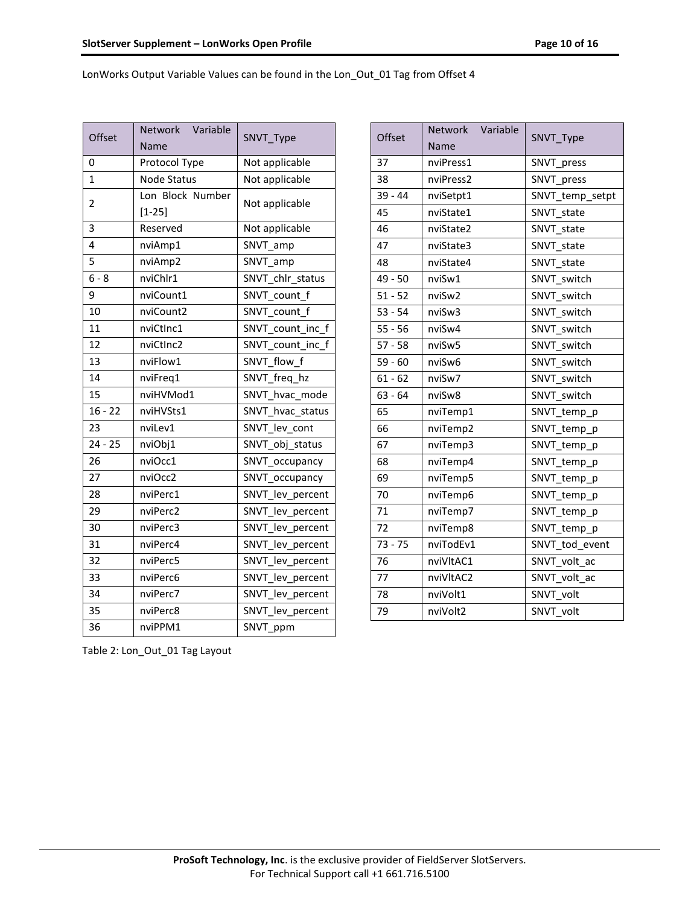LonWorks Output Variable Values can be found in the Lon\_Out\_01 Tag from Offset 4

| Offset                  | Network Variable<br>Name       | SNVT_Type        |
|-------------------------|--------------------------------|------------------|
| 0                       | Protocol Type                  | Not applicable   |
| $\mathbf{1}$            | <b>Node Status</b>             | Not applicable   |
| $\overline{2}$          | Lon Block Number<br>$[1 - 25]$ | Not applicable   |
| $\overline{3}$          | Reserved                       | Not applicable   |
| $\overline{\mathbf{A}}$ | nviAmp1                        | SNVT_amp         |
| 5                       | nviAmp2                        | SNVT amp         |
| $6 - 8$                 | nviChlr1                       | SNVT_chlr_status |
| 9                       | nviCount1                      | SNVT_count_f     |
| 10                      | nviCount2                      | SNVT count f     |
| 11                      | nviCtInc1                      | SNVT count inc f |
| 12                      | nviCtInc2                      | SNVT count inc f |
| 13                      | nviFlow1                       | SNVT flow f      |
| 14                      | nviFreq1                       | SNVT_freq_hz     |
| 15                      | nviHVMod1                      | SNVT hvac mode   |
| $16 - 22$               | nviHVSts1                      | SNVT_hvac_status |
| 23                      | nviLev1                        | SNVT_lev_cont    |
| $24 - 25$               | nviObj1                        | SNVT obj status  |
| 26                      | nviOcc1                        | SNVT_occupancy   |
| 27                      | nviOcc2                        | SNVT_occupancy   |
| 28                      | nviPerc1                       | SNVT_lev_percent |
| 29                      | nviPerc2                       | SNVT_lev_percent |
| 30                      | nviPerc3                       | SNVT_lev_percent |
| 31                      | nviPerc4                       | SNVT_lev_percent |
| 32                      | nviPerc5                       | SNVT_lev_percent |
| 33                      | nviPerc6                       | SNVT_lev_percent |
| 34                      | nviPerc7                       | SNVT_lev_percent |
| 35                      | nviPerc8                       | SNVT_lev_percent |
| 36                      | nviPPM1                        | SNVT_ppm         |

| Offset    | Network Variable<br>Name | SNVT_Type       |
|-----------|--------------------------|-----------------|
| 37        | nviPress1                | SNVT_press      |
| 38        | nviPress2                | SNVT press      |
| $39 - 44$ | nviSetpt1                | SNVT_temp_setpt |
| 45        | nviState1                | SNVT state      |
| 46        | nviState2                | SNVT_state      |
| 47        | nviState3                | SNVT_state      |
| 48        | nviState4                | SNVT_state      |
| 49 - 50   | nviSw1                   | SNVT switch     |
| $51 - 52$ | nviSw2                   | SNVT switch     |
| $53 - 54$ | nviSw3                   | SNVT switch     |
| $55 - 56$ | nviSw4                   | SNVT switch     |
| $57 - 58$ | nviSw5                   | SNVT switch     |
| $59 - 60$ | nviSw6                   | SNVT switch     |
| $61 - 62$ | nviSw7                   | SNVT switch     |
| $63 - 64$ | nviSw8                   | SNVT switch     |
| 65        | nviTemp1                 | SNVT_temp_p     |
| 66        | nviTemp2                 | SNVT_temp_p     |
| 67        | nviTemp3                 | SNVT_temp_p     |
| 68        | nviTemp4                 | SNVT_temp_p     |
| 69        | nviTemp5                 | SNVT_temp_p     |
| 70        | nviTemp6                 | SNVT_temp_p     |
| 71        | nviTemp7                 | SNVT_temp_p     |
| 72        | nviTemp8                 | SNVT_temp_p     |
| $73 - 75$ | nviTodEv1                | SNVT tod event  |
| 76        | nviVltAC1                | SNVT volt ac    |
| 77        | nviVltAC2                | SNVT volt ac    |
| 78        | nviVolt1                 | SNVT_volt       |
| 79        | nviVolt2                 | SNVT volt       |

Table 2: Lon\_Out\_01 Tag Layout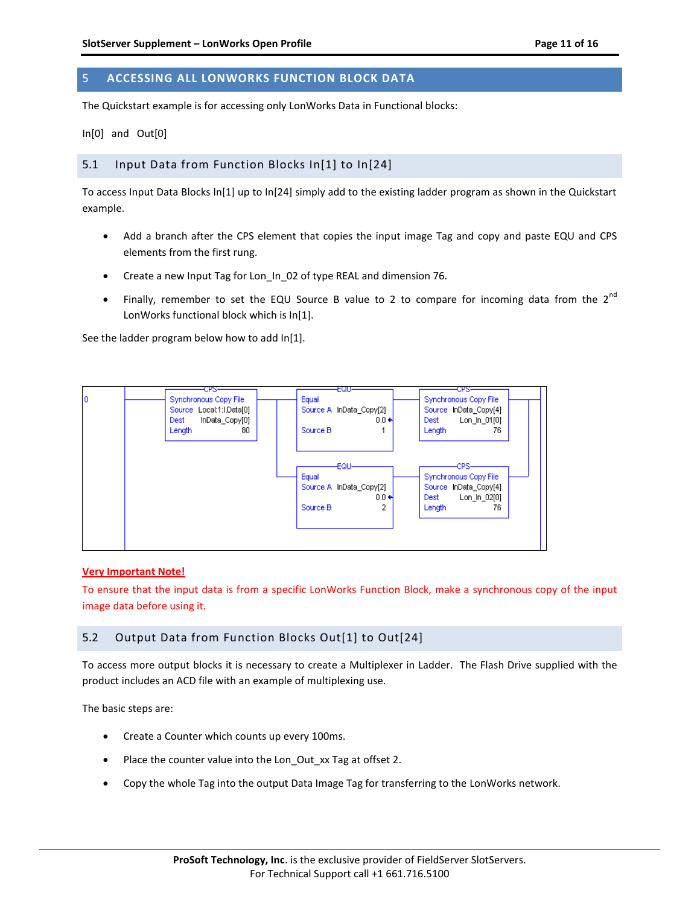# <span id="page-10-0"></span>5 **ACCESSING ALL LONWORKS FUNCTION BLOCK DATA**

The Quickstart example is for accessing only LonWorks Data in Functional blocks:

In[0] and Out[0]

#### <span id="page-10-1"></span>5.1 Input Data from Function Blocks In[1] to In[24]

To access Input Data Blocks In[1] up to In[24] simply add to the existing ladder program as shown in the Quickstart example.

- Add a branch after the CPS element that copies the input image Tag and copy and paste EQU and CPS elements from the first rung.
- Create a new Input Tag for Lon\_In\_02 of type REAL and dimension 76.
- Finally, remember to set the EQU Source B value to 2 to compare for incoming data from the  $2^{nd}$ LonWorks functional block which is In[1].

See the ladder program below how to add In[1].



#### **Very Important Note!**

To ensure that the input data is from a specific LonWorks Function Block, make a synchronous copy of the input image data before using it.

### <span id="page-10-2"></span>5.2 Output Data from Function Blocks Out[1] to Out[24]

To access more output blocks it is necessary to create a Multiplexer in Ladder. The Flash Drive supplied with the product includes an ACD file with an example of multiplexing use.

The basic steps are:

- Create a Counter which counts up every 100ms.
- Place the counter value into the Lon\_Out\_xx Tag at offset 2.
- Copy the whole Tag into the output Data Image Tag for transferring to the LonWorks network.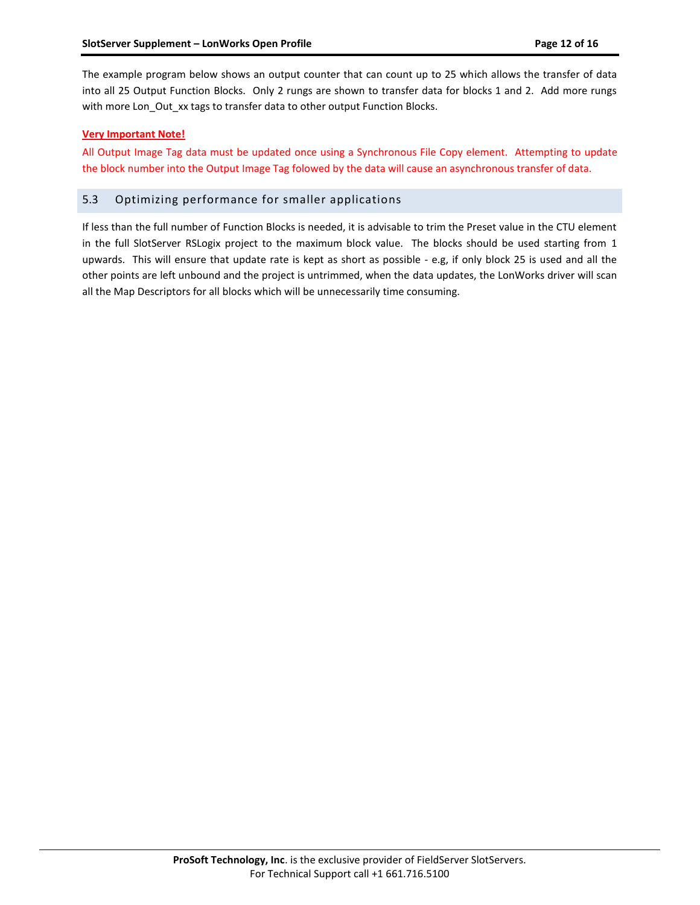The example program below shows an output counter that can count up to 25 which allows the transfer of data into all 25 Output Function Blocks. Only 2 rungs are shown to transfer data for blocks 1 and 2. Add more rungs with more Lon\_Out\_xx tags to transfer data to other output Function Blocks.

#### **Very Important Note!**

All Output Image Tag data must be updated once using a Synchronous File Copy element. Attempting to update the block number into the Output Image Tag folowed by the data will cause an asynchronous transfer of data.

## <span id="page-11-0"></span>5.3 Optimizing performance for smaller applications

If less than the full number of Function Blocks is needed, it is advisable to trim the Preset value in the CTU element in the full SlotServer RSLogix project to the maximum block value. The blocks should be used starting from 1 upwards. This will ensure that update rate is kept as short as possible - e.g, if only block 25 is used and all the other points are left unbound and the project is untrimmed, when the data updates, the LonWorks driver will scan all the Map Descriptors for all blocks which will be unnecessarily time consuming.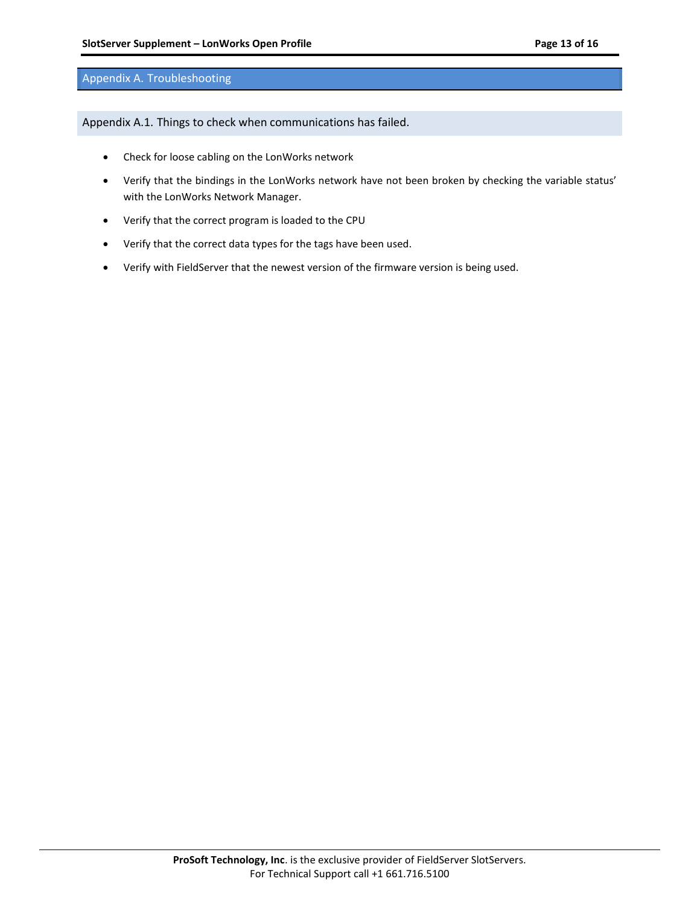#### <span id="page-12-0"></span>Appendix A. Troubleshooting

<span id="page-12-1"></span>Appendix A.1. Things to check when communications has failed.

- Check for loose cabling on the LonWorks network
- Verify that the bindings in the LonWorks network have not been broken by checking the variable status' with the LonWorks Network Manager.
- Verify that the correct program is loaded to the CPU
- Verify that the correct data types for the tags have been used.
- Verify with FieldServer that the newest version of the firmware version is being used.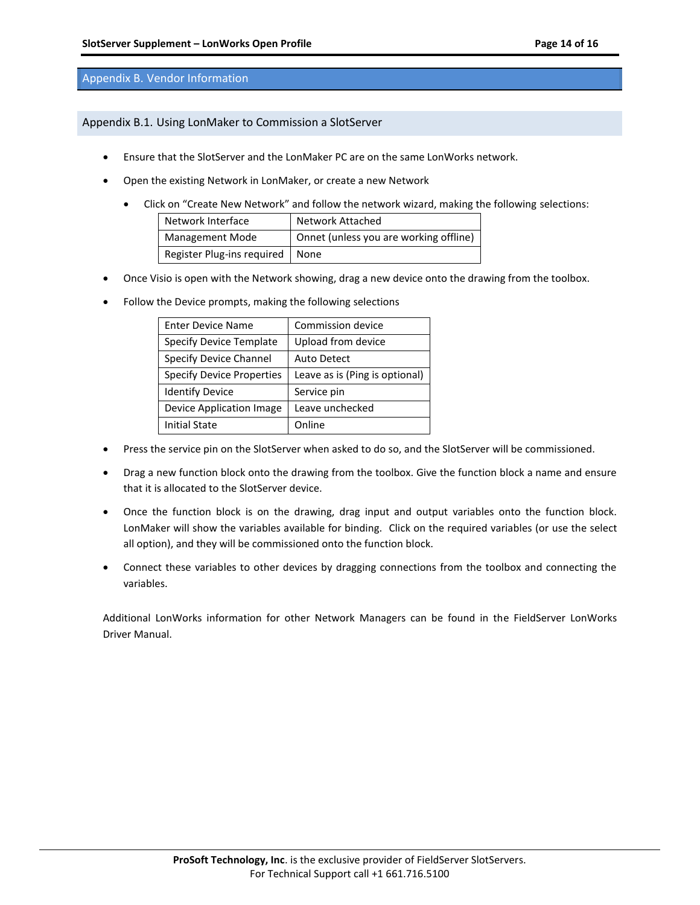#### <span id="page-13-0"></span>Appendix B. Vendor Information

<span id="page-13-1"></span>Appendix B.1. Using LonMaker to Commission a SlotServer

- Ensure that the SlotServer and the LonMaker PC are on the same LonWorks network.
- Open the existing Network in LonMaker, or create a new Network
	- Click on "Create New Network" and follow the network wizard, making the following selections:

| Network Interface                 | Network Attached                       |
|-----------------------------------|----------------------------------------|
| <b>Management Mode</b>            | Onnet (unless you are working offline) |
| Register Plug-ins required   None |                                        |

- Once Visio is open with the Network showing, drag a new device onto the drawing from the toolbox.
- Follow the Device prompts, making the following selections

| <b>Enter Device Name</b>         | Commission device              |  |
|----------------------------------|--------------------------------|--|
| <b>Specify Device Template</b>   | Upload from device             |  |
| Specify Device Channel           | <b>Auto Detect</b>             |  |
| <b>Specify Device Properties</b> | Leave as is (Ping is optional) |  |
| <b>Identify Device</b>           | Service pin                    |  |
| Device Application Image         | Leave unchecked                |  |
| <b>Initial State</b>             | Online                         |  |

- Press the service pin on the SlotServer when asked to do so, and the SlotServer will be commissioned.
- Drag a new function block onto the drawing from the toolbox. Give the function block a name and ensure that it is allocated to the SlotServer device.
- Once the function block is on the drawing, drag input and output variables onto the function block. LonMaker will show the variables available for binding. Click on the required variables (or use the select all option), and they will be commissioned onto the function block.
- Connect these variables to other devices by dragging connections from the toolbox and connecting the variables.

Additional LonWorks information for other Network Managers can be found in the FieldServer LonWorks Driver Manual.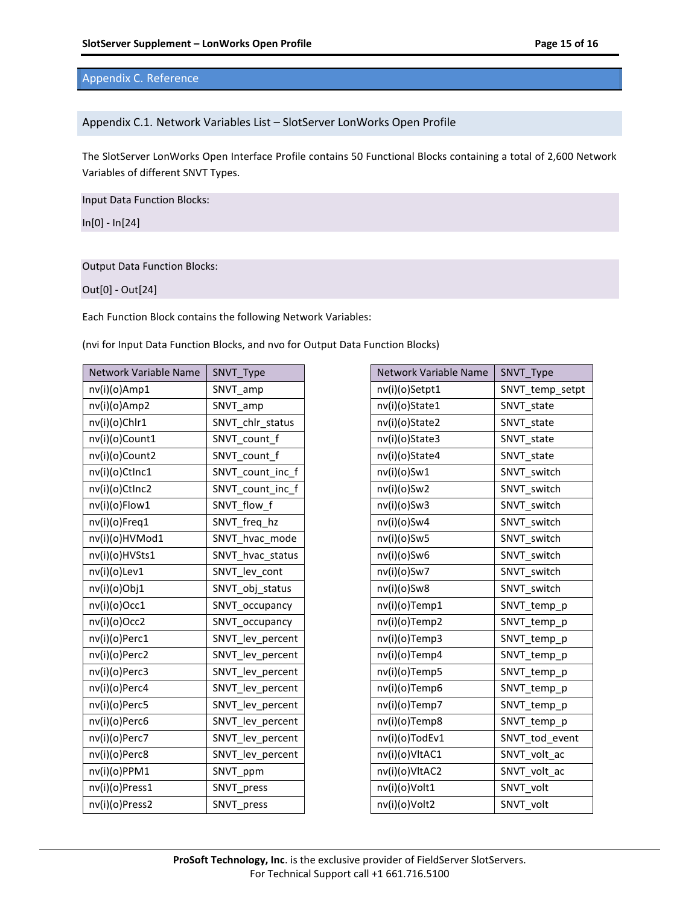## <span id="page-14-0"></span>Appendix C. Reference

#### <span id="page-14-1"></span>Appendix C.1. Network Variables List – SlotServer LonWorks Open Profile

The SlotServer LonWorks Open Interface Profile contains 50 Functional Blocks containing a total of 2,600 Network Variables of different SNVT Types.

Input Data Function Blocks:

In[0] - In[24]

#### Output Data Function Blocks:

Out[0] - Out[24]

Each Function Block contains the following Network Variables:

(nvi for Input Data Function Blocks, and nvo for Output Data Function Blocks)

| Network Variable Name | SNVT_Type        |
|-----------------------|------------------|
| nv(i)(o)Amp1          | SNVT_amp         |
| nv(i)(o)Amp2          | SNVT_amp         |
| nv(i)(o)Chlr1         | SNVT_chlr_status |
| nv(i)(o)Count1        | SNVT count f     |
| nv(i)(o)Count2        | SNVT count f     |
| nv(i)(o)CtInc1        | SNVT_count_inc_f |
| nv(i)(o)CtInc2        | SNVT_count_inc_f |
| nv(i)(o)Flow1         | SNVT flow f      |
| nv(i)(o)Freq1         | SNVT freq hz     |
| nv(i)(o)HVMod1        | SNVT hvac mode   |
| nv(i)(o)HVSts1        | SNVT_hvac_status |
| nv(i)(o)Lev1          | SNVT lev cont    |
| nv(i)(o)Obj1          | SNVT obj status  |
| nv(i)(o)Occ1          | SNVT occupancy   |
| nv(i)(o)Occ2          | SNVT_occupancy   |
| nv(i)(o)Perc1         | SNVT_lev_percent |
| nv(i)(o)Perc2         | SNVT_lev_percent |
| nv(i)(o)Perc3         | SNVT lev_percent |
| nv(i)(o)Perc4         | SNVT_lev_percent |
| nv(i)(o)Perc5         | SNVT_lev_percent |
| nv(i)(o)Perc6         | SNVT_lev_percent |
| nv(i)(o)Perc7         | SNVT_lev_percent |
| nv(i)(o)Perc8         | SNVT_lev_percent |
| nv(i)(o)PPM1          | SNVT_ppm         |
| nv(i)(o)Press1        | SNVT press       |
| nv(i)(o)Press2        | SNVT press       |

| Network Variable Name | SNVT_Type       |
|-----------------------|-----------------|
| nv(i)(o)Setpt1        | SNVT_temp_setpt |
| nv(i)(o)State1        | SNVT state      |
| nv(i)(o)State2        | SNVT state      |
| nv(i)(o)State3        | SNVT state      |
| nv(i)(o)State4        | SNVT state      |
| nv(i)(o)Sw1           | SNVT switch     |
| nv(i)(o)Sw2           | SNVT switch     |
| nv(i)(o)Sw3           | SNVT switch     |
| nv(i)(o)Sw4           | SNVT switch     |
| nv(i)(o)Sw5           | SNVT switch     |
| nv(i)(o)Sw6           | SNVT switch     |
| nv(i)(o)Sw7           | SNVT switch     |
| nv(i)(o)Sw8           | SNVT switch     |
| nv(i)(o)Temp1         | SNVT_temp_p     |
| nv(i)(o)Temp2         | SNVT_temp_p     |
| nv(i)(o)Temp3         | SNVT_temp_p     |
| nv(i)(o)Temp4         | SNVT_temp_p     |
| nv(i)(o)Temp5         | SNVT_temp_p     |
| nv(i)(o)Temp6         | SNVT_temp_p     |
| nv(i)(o)Temp7         | SNVT_temp_p     |
| nv(i)(o)Temp8         | SNVT_temp_p     |
| nv(i)(o)TodEv1        | SNVT tod event  |
| nv(i)(o)VltAC1        | SNVT volt ac    |
| nv(i)(o)VltAC2        | SNVT volt ac    |
| nv(i)(o)Volt1         | SNVT volt       |
| nv(i)(o)Volt2         | SNVT volt       |